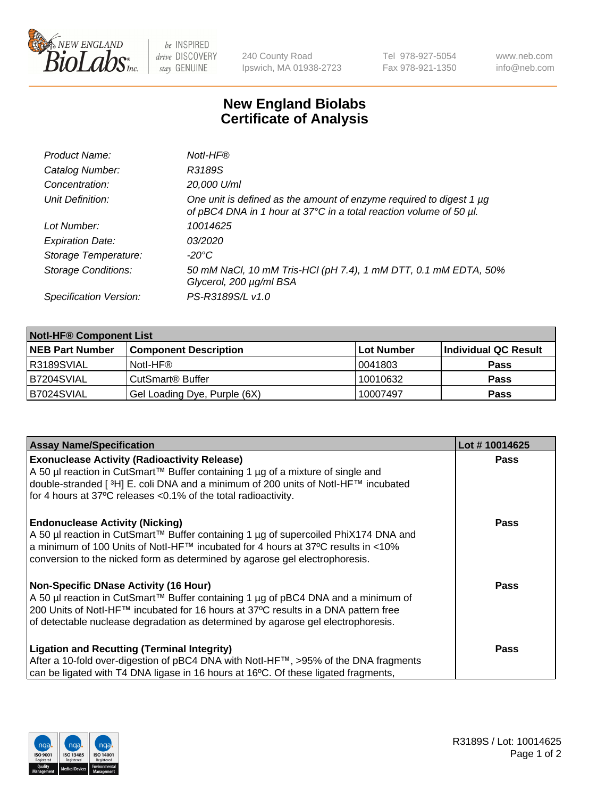

 $be$  INSPIRED drive DISCOVERY stay GENUINE

240 County Road Ipswich, MA 01938-2723 Tel 978-927-5054 Fax 978-921-1350 www.neb.com info@neb.com

## **New England Biolabs Certificate of Analysis**

| Product Name:              | Notl-HF®                                                                                                                                  |
|----------------------------|-------------------------------------------------------------------------------------------------------------------------------------------|
| Catalog Number:            | R3189S                                                                                                                                    |
| Concentration:             | 20,000 U/ml                                                                                                                               |
| Unit Definition:           | One unit is defined as the amount of enzyme required to digest 1 µg<br>of pBC4 DNA in 1 hour at 37°C in a total reaction volume of 50 µl. |
| Lot Number:                | 10014625                                                                                                                                  |
| <b>Expiration Date:</b>    | 03/2020                                                                                                                                   |
| Storage Temperature:       | -20°C                                                                                                                                     |
| <b>Storage Conditions:</b> | 50 mM NaCl, 10 mM Tris-HCl (pH 7.4), 1 mM DTT, 0.1 mM EDTA, 50%<br>Glycerol, 200 µg/ml BSA                                                |
| Specification Version:     | PS-R3189S/L v1.0                                                                                                                          |

| <b>Notl-HF® Component List</b> |                              |            |                      |  |  |
|--------------------------------|------------------------------|------------|----------------------|--|--|
| <b>NEB Part Number</b>         | <b>Component Description</b> | Lot Number | Individual QC Result |  |  |
| R3189SVIAL                     | Notl-HF®                     | 10041803   | <b>Pass</b>          |  |  |
| B7204SVIAL                     | CutSmart <sup>®</sup> Buffer | 10010632   | <b>Pass</b>          |  |  |
| B7024SVIAL                     | Gel Loading Dye, Purple (6X) | 10007497   | <b>Pass</b>          |  |  |

| <b>Assay Name/Specification</b>                                                                                                                                                                                                                                                                      | Lot #10014625 |
|------------------------------------------------------------------------------------------------------------------------------------------------------------------------------------------------------------------------------------------------------------------------------------------------------|---------------|
| <b>Exonuclease Activity (Radioactivity Release)</b>                                                                                                                                                                                                                                                  | <b>Pass</b>   |
| A 50 µl reaction in CutSmart™ Buffer containing 1 µg of a mixture of single and<br>double-stranded [ <sup>3</sup> H] E. coli DNA and a minimum of 200 units of Notl-HF™ incubated<br>for 4 hours at 37°C releases <0.1% of the total radioactivity.                                                  |               |
| <b>Endonuclease Activity (Nicking)</b><br>A 50 µl reaction in CutSmart™ Buffer containing 1 µg of supercoiled PhiX174 DNA and<br>  a minimum of 100 Units of Notl-HF™ incubated for 4 hours at 37°C results in <10%<br>conversion to the nicked form as determined by agarose gel electrophoresis.   | Pass          |
| Non-Specific DNase Activity (16 Hour)<br>A 50 µl reaction in CutSmart™ Buffer containing 1 µg of pBC4 DNA and a minimum of<br>200 Units of Notl-HF™ incubated for 16 hours at 37°C results in a DNA pattern free<br>of detectable nuclease degradation as determined by agarose gel electrophoresis. | Pass          |
| <b>Ligation and Recutting (Terminal Integrity)</b><br>After a 10-fold over-digestion of pBC4 DNA with Notl-HF™, >95% of the DNA fragments<br>can be ligated with T4 DNA ligase in 16 hours at 16 <sup>o</sup> C. Of these ligated fragments,                                                         | <b>Pass</b>   |